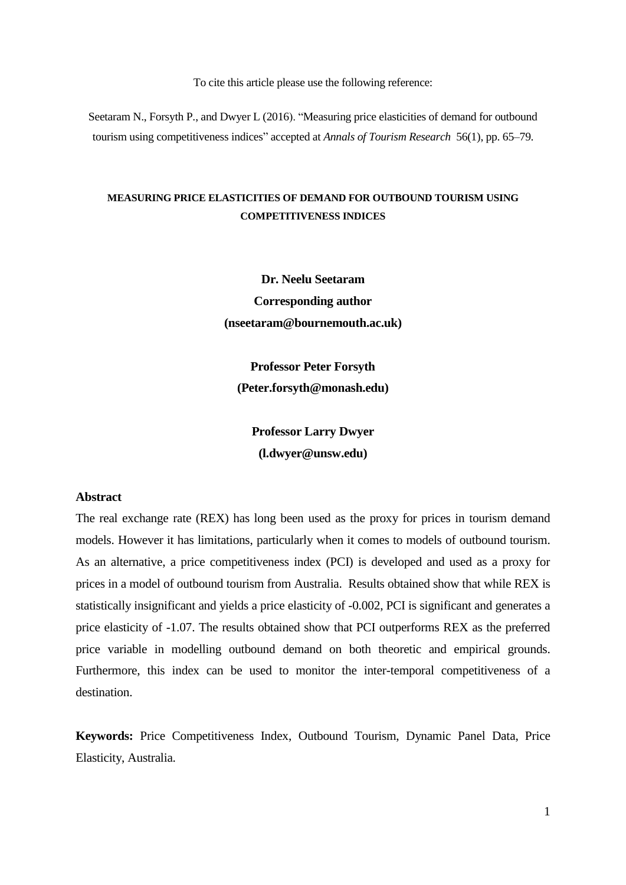To cite this article please use the following reference:

Seetaram N., Forsyth P., and Dwyer L (2016). "Measuring price elasticities of demand for outbound tourism using competitiveness indices" accepted at *Annals of Tourism Research* [56\(](http://www.sciencedirect.com/science/journal/01607383/56/supp/C)1), pp. 65–79.

# **MEASURING PRICE ELASTICITIES OF DEMAND FOR OUTBOUND TOURISM USING COMPETITIVENESS INDICES**

**Dr. Neelu Seetaram Corresponding author (nseetaram@bournemouth.ac.uk)**

**Professor Peter Forsyth (Peter.forsyth@monash.edu)**

**Professor Larry Dwyer (l.dwyer@unsw.edu)**

## **Abstract**

The real exchange rate (REX) has long been used as the proxy for prices in tourism demand models. However it has limitations, particularly when it comes to models of outbound tourism. As an alternative, a price competitiveness index (PCI) is developed and used as a proxy for prices in a model of outbound tourism from Australia. Results obtained show that while REX is statistically insignificant and yields a price elasticity of -0.002, PCI is significant and generates a price elasticity of -1.07. The results obtained show that PCI outperforms REX as the preferred price variable in modelling outbound demand on both theoretic and empirical grounds. Furthermore, this index can be used to monitor the inter-temporal competitiveness of a destination.

**Keywords:** Price Competitiveness Index, Outbound Tourism, Dynamic Panel Data, Price Elasticity, Australia.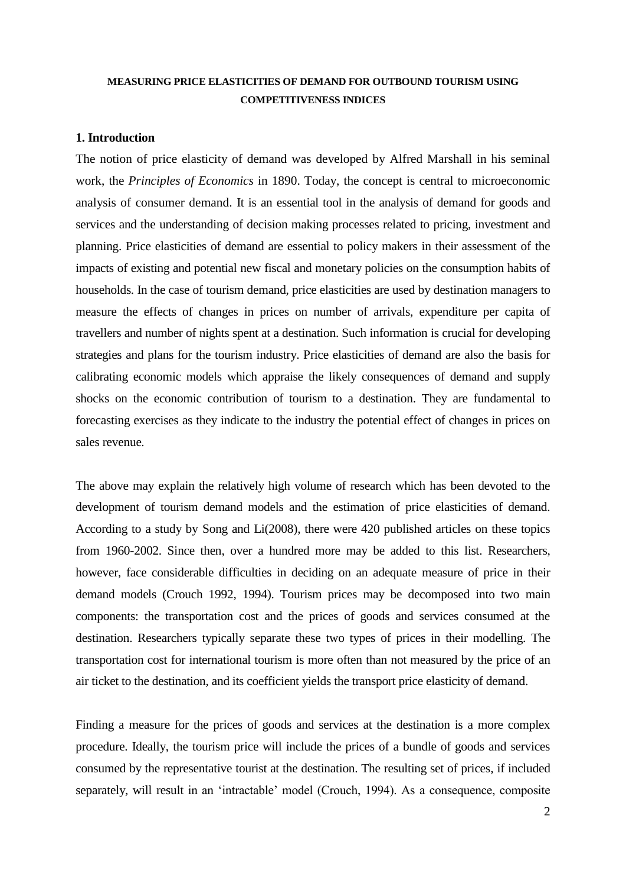# **MEASURING PRICE ELASTICITIES OF DEMAND FOR OUTBOUND TOURISM USING COMPETITIVENESS INDICES**

#### **1. Introduction**

The notion of price elasticity of demand was developed by Alfred Marshall in his seminal work, the *Principles of Economics* in 1890. Today, the concept is central to microeconomic analysis of consumer demand. It is an essential tool in the analysis of demand for goods and services and the understanding of decision making processes related to pricing, investment and planning. Price elasticities of demand are essential to policy makers in their assessment of the impacts of existing and potential new fiscal and monetary policies on the consumption habits of households. In the case of tourism demand, price elasticities are used by destination managers to measure the effects of changes in prices on number of arrivals, expenditure per capita of travellers and number of nights spent at a destination. Such information is crucial for developing strategies and plans for the tourism industry. Price elasticities of demand are also the basis for calibrating economic models which appraise the likely consequences of demand and supply shocks on the economic contribution of tourism to a destination. They are fundamental to forecasting exercises as they indicate to the industry the potential effect of changes in prices on sales revenue.

The above may explain the relatively high volume of research which has been devoted to the development of tourism demand models and the estimation of price elasticities of demand. According to a study by Song and Li(2008), there were 420 published articles on these topics from 1960-2002. Since then, over a hundred more may be added to this list. Researchers, however, face considerable difficulties in deciding on an adequate measure of price in their demand models (Crouch 1992, 1994). Tourism prices may be decomposed into two main components: the transportation cost and the prices of goods and services consumed at the destination. Researchers typically separate these two types of prices in their modelling. The transportation cost for international tourism is more often than not measured by the price of an air ticket to the destination, and its coefficient yields the transport price elasticity of demand.

Finding a measure for the prices of goods and services at the destination is a more complex procedure. Ideally, the tourism price will include the prices of a bundle of goods and services consumed by the representative tourist at the destination. The resulting set of prices, if included separately, will result in an 'intractable' model (Crouch, 1994). As a consequence, composite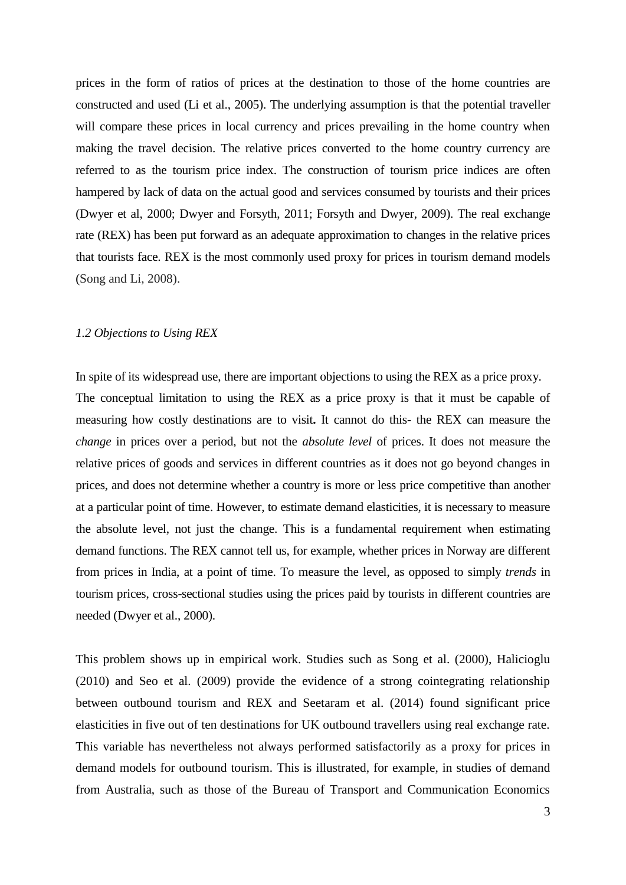prices in the form of ratios of prices at the destination to those of the home countries are constructed and used (Li et al., 2005). The underlying assumption is that the potential traveller will compare these prices in local currency and prices prevailing in the home country when making the travel decision. The relative prices converted to the home country currency are referred to as the tourism price index. The construction of tourism price indices are often hampered by lack of data on the actual good and services consumed by tourists and their prices (Dwyer et al, 2000; Dwyer and Forsyth, 2011; Forsyth and Dwyer, 2009). The real exchange rate (REX) has been put forward as an adequate approximation to changes in the relative prices that tourists face. REX is the most commonly used proxy for prices in tourism demand models (Song and Li, 2008).

#### *1.2 Objections to Using REX*

In spite of its widespread use, there are important objections to using the REX as a price proxy. The conceptual limitation to using the REX as a price proxy is that it must be capable of measuring how costly destinations are to visit**.** It cannot do this**-** the REX can measure the *change* in prices over a period, but not the *absolute level* of prices. It does not measure the relative prices of goods and services in different countries as it does not go beyond changes in prices, and does not determine whether a country is more or less price competitive than another at a particular point of time. However, to estimate demand elasticities, it is necessary to measure the absolute level, not just the change. This is a fundamental requirement when estimating demand functions. The REX cannot tell us, for example, whether prices in Norway are different from prices in India, at a point of time. To measure the level, as opposed to simply *trends* in tourism prices, cross-sectional studies using the prices paid by tourists in different countries are needed (Dwyer et al., 2000).

This problem shows up in empirical work. Studies such as Song et al. (2000), Halicioglu (2010) and Seo et al. (2009) provide the evidence of a strong cointegrating relationship between outbound tourism and REX and Seetaram et al. (2014) found significant price elasticities in five out of ten destinations for UK outbound travellers using real exchange rate. This variable has nevertheless not always performed satisfactorily as a proxy for prices in demand models for outbound tourism. This is illustrated, for example, in studies of demand from Australia, such as those of the Bureau of Transport and Communication Economics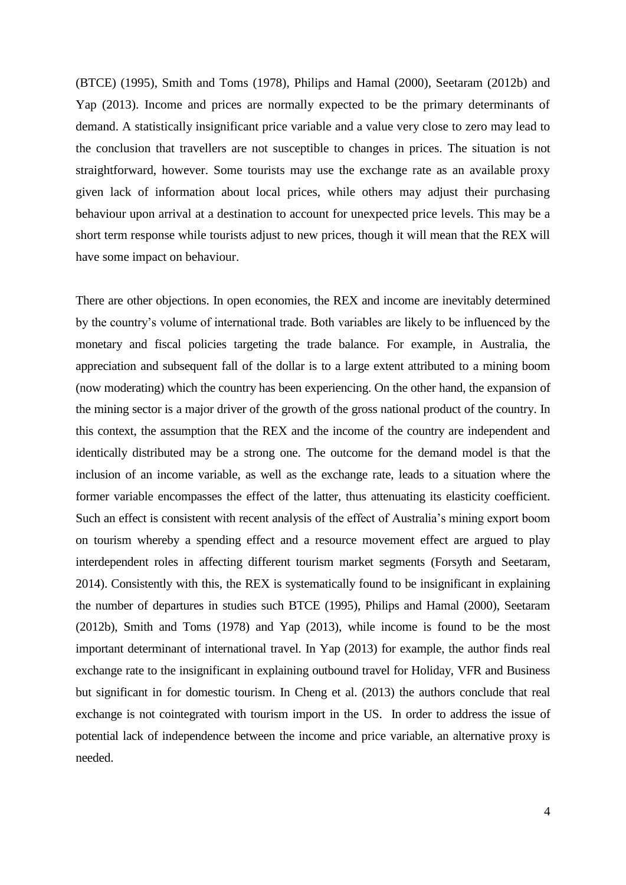(BTCE) (1995), Smith and Toms (1978), Philips and Hamal (2000), Seetaram (2012b) and Yap (2013). Income and prices are normally expected to be the primary determinants of demand. A statistically insignificant price variable and a value very close to zero may lead to the conclusion that travellers are not susceptible to changes in prices. The situation is not straightforward, however. Some tourists may use the exchange rate as an available proxy given lack of information about local prices, while others may adjust their purchasing behaviour upon arrival at a destination to account for unexpected price levels. This may be a short term response while tourists adjust to new prices, though it will mean that the REX will have some impact on behaviour.

There are other objections. In open economies, the REX and income are inevitably determined by the country's volume of international trade. Both variables are likely to be influenced by the monetary and fiscal policies targeting the trade balance. For example, in Australia, the appreciation and subsequent fall of the dollar is to a large extent attributed to a mining boom (now moderating) which the country has been experiencing. On the other hand, the expansion of the mining sector is a major driver of the growth of the gross national product of the country. In this context, the assumption that the REX and the income of the country are independent and identically distributed may be a strong one. The outcome for the demand model is that the inclusion of an income variable, as well as the exchange rate, leads to a situation where the former variable encompasses the effect of the latter, thus attenuating its elasticity coefficient. Such an effect is consistent with recent analysis of the effect of Australia's mining export boom on tourism whereby a spending effect and a resource movement effect are argued to play interdependent roles in affecting different tourism market segments (Forsyth and Seetaram, 2014). Consistently with this, the REX is systematically found to be insignificant in explaining the number of departures in studies such BTCE (1995), Philips and Hamal (2000), Seetaram (2012b), Smith and Toms (1978) and Yap (2013), while income is found to be the most important determinant of international travel. In Yap (2013) for example, the author finds real exchange rate to the insignificant in explaining outbound travel for Holiday, VFR and Business but significant in for domestic tourism. In Cheng et al. (2013) the authors conclude that real exchange is not cointegrated with tourism import in the US. In order to address the issue of potential lack of independence between the income and price variable, an alternative proxy is needed.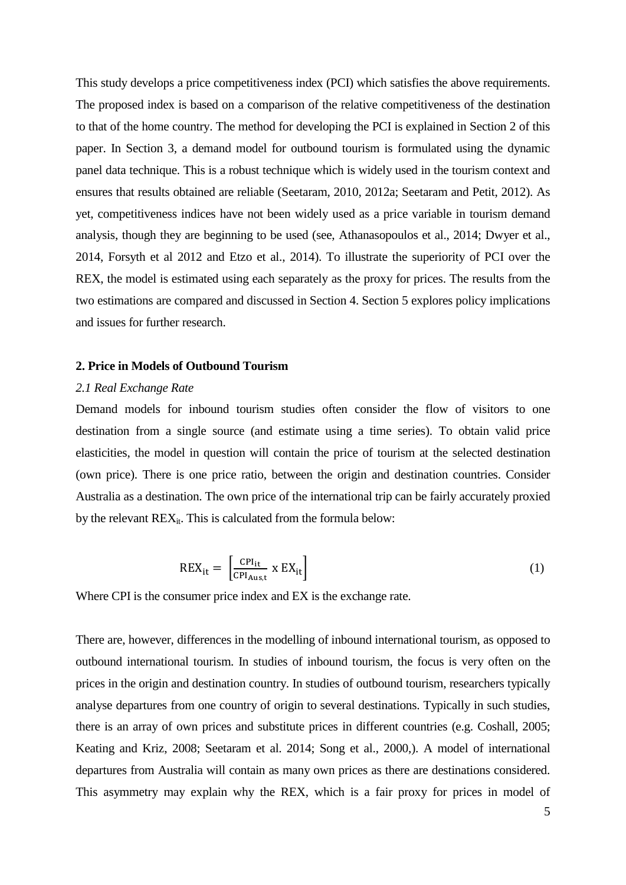This study develops a price competitiveness index (PCI) which satisfies the above requirements. The proposed index is based on a comparison of the relative competitiveness of the destination to that of the home country. The method for developing the PCI is explained in Section 2 of this paper. In Section 3, a demand model for outbound tourism is formulated using the dynamic panel data technique. This is a robust technique which is widely used in the tourism context and ensures that results obtained are reliable (Seetaram, 2010, 2012a; Seetaram and Petit, 2012). As yet, competitiveness indices have not been widely used as a price variable in tourism demand analysis, though they are beginning to be used (see, Athanasopoulos et al., 2014; Dwyer et al., 2014, Forsyth et al 2012 and Etzo et al., 2014). To illustrate the superiority of PCI over the REX, the model is estimated using each separately as the proxy for prices. The results from the two estimations are compared and discussed in Section 4. Section 5 explores policy implications and issues for further research.

# **2. Price in Models of Outbound Tourism**

# *2.1 Real Exchange Rate*

Demand models for inbound tourism studies often consider the flow of visitors to one destination from a single source (and estimate using a time series). To obtain valid price elasticities, the model in question will contain the price of tourism at the selected destination (own price). There is one price ratio, between the origin and destination countries. Consider Australia as a destination. The own price of the international trip can be fairly accurately proxied by the relevant  $REX_{it}$ . This is calculated from the formula below:

$$
REX_{it} = \left[ \frac{cPI_{it}}{cPI_{Aust}} \times EX_{it} \right]
$$
 (1)

Where CPI is the consumer price index and EX is the exchange rate.

There are, however, differences in the modelling of inbound international tourism, as opposed to outbound international tourism. In studies of inbound tourism, the focus is very often on the prices in the origin and destination country. In studies of outbound tourism, researchers typically analyse departures from one country of origin to several destinations. Typically in such studies, there is an array of own prices and substitute prices in different countries (e.g. Coshall, 2005; Keating and Kriz, 2008; Seetaram et al. 2014; Song et al., 2000,). A model of international departures from Australia will contain as many own prices as there are destinations considered. This asymmetry may explain why the REX, which is a fair proxy for prices in model of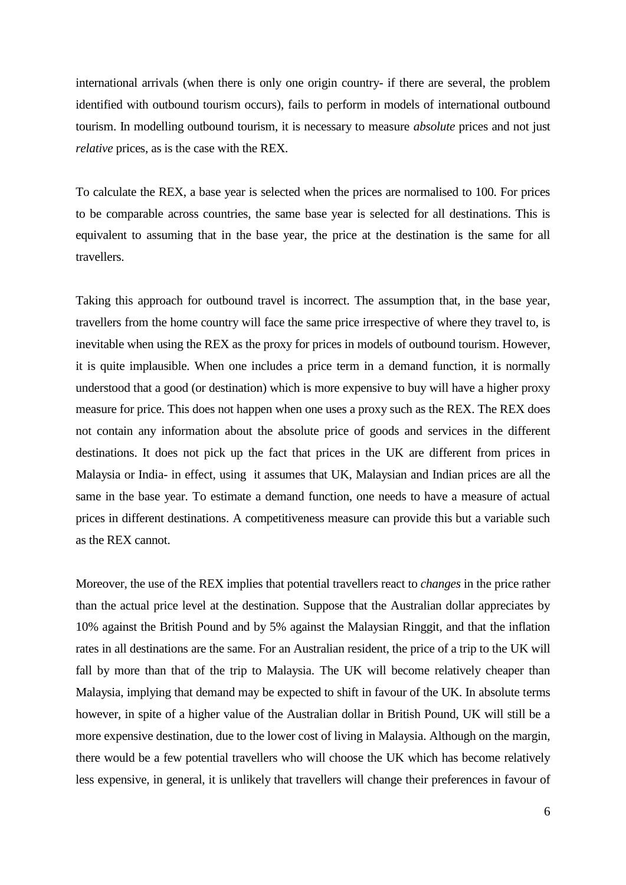international arrivals (when there is only one origin country- if there are several, the problem identified with outbound tourism occurs), fails to perform in models of international outbound tourism. In modelling outbound tourism, it is necessary to measure *absolute* prices and not just *relative* prices, as is the case with the REX.

To calculate the REX, a base year is selected when the prices are normalised to 100. For prices to be comparable across countries, the same base year is selected for all destinations. This is equivalent to assuming that in the base year, the price at the destination is the same for all travellers.

Taking this approach for outbound travel is incorrect. The assumption that, in the base year, travellers from the home country will face the same price irrespective of where they travel to, is inevitable when using the REX as the proxy for prices in models of outbound tourism. However, it is quite implausible. When one includes a price term in a demand function, it is normally understood that a good (or destination) which is more expensive to buy will have a higher proxy measure for price. This does not happen when one uses a proxy such as the REX. The REX does not contain any information about the absolute price of goods and services in the different destinations. It does not pick up the fact that prices in the UK are different from prices in Malaysia or India- in effect, using it assumes that UK, Malaysian and Indian prices are all the same in the base year. To estimate a demand function, one needs to have a measure of actual prices in different destinations. A competitiveness measure can provide this but a variable such as the REX cannot.

Moreover, the use of the REX implies that potential travellers react to *changes* in the price rather than the actual price level at the destination. Suppose that the Australian dollar appreciates by 10% against the British Pound and by 5% against the Malaysian Ringgit, and that the inflation rates in all destinations are the same. For an Australian resident, the price of a trip to the UK will fall by more than that of the trip to Malaysia. The UK will become relatively cheaper than Malaysia, implying that demand may be expected to shift in favour of the UK. In absolute terms however, in spite of a higher value of the Australian dollar in British Pound, UK will still be a more expensive destination, due to the lower cost of living in Malaysia. Although on the margin, there would be a few potential travellers who will choose the UK which has become relatively less expensive, in general, it is unlikely that travellers will change their preferences in favour of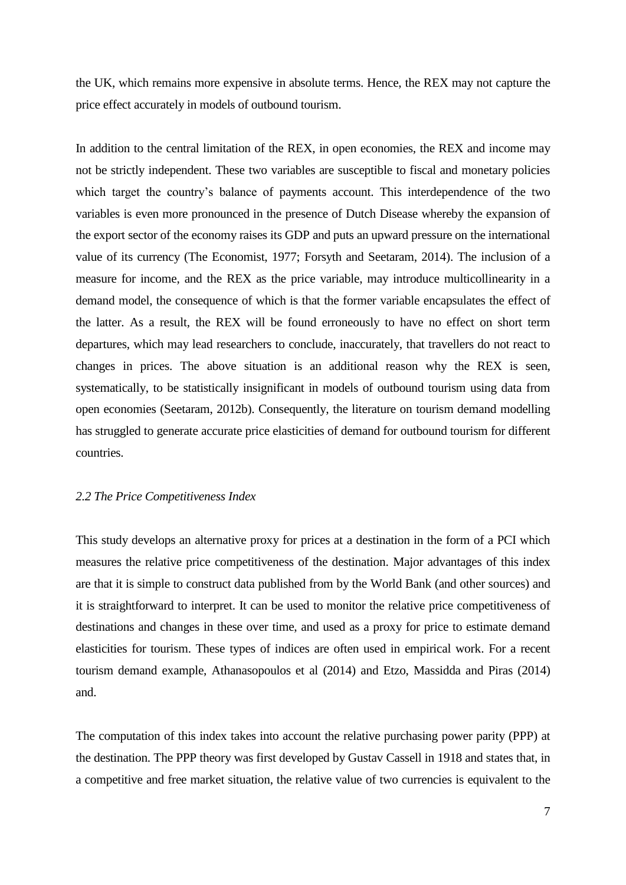the UK, which remains more expensive in absolute terms. Hence, the REX may not capture the price effect accurately in models of outbound tourism.

In addition to the central limitation of the REX, in open economies, the REX and income may not be strictly independent. These two variables are susceptible to fiscal and monetary policies which target the country's balance of payments account. This interdependence of the two variables is even more pronounced in the presence of Dutch Disease whereby the expansion of the export sector of the economy raises its GDP and puts an upward pressure on the international value of its currency (The Economist, 1977; Forsyth and Seetaram, 2014). The inclusion of a measure for income, and the REX as the price variable, may introduce multicollinearity in a demand model, the consequence of which is that the former variable encapsulates the effect of the latter. As a result, the REX will be found erroneously to have no effect on short term departures, which may lead researchers to conclude, inaccurately, that travellers do not react to changes in prices. The above situation is an additional reason why the REX is seen, systematically, to be statistically insignificant in models of outbound tourism using data from open economies (Seetaram, 2012b). Consequently, the literature on tourism demand modelling has struggled to generate accurate price elasticities of demand for outbound tourism for different countries.

### *2.2 The Price Competitiveness Index*

This study develops an alternative proxy for prices at a destination in the form of a PCI which measures the relative price competitiveness of the destination. Major advantages of this index are that it is simple to construct data published from by the World Bank (and other sources) and it is straightforward to interpret. It can be used to monitor the relative price competitiveness of destinations and changes in these over time, and used as a proxy for price to estimate demand elasticities for tourism. These types of indices are often used in empirical work. For a recent tourism demand example, Athanasopoulos et al (2014) and Etzo, Massidda and Piras (2014) and.

The computation of this index takes into account the relative purchasing power parity (PPP) at the destination. The PPP theory was first developed by Gustav Cassell in 1918 and states that, in a competitive and free market situation, the relative value of two currencies is equivalent to the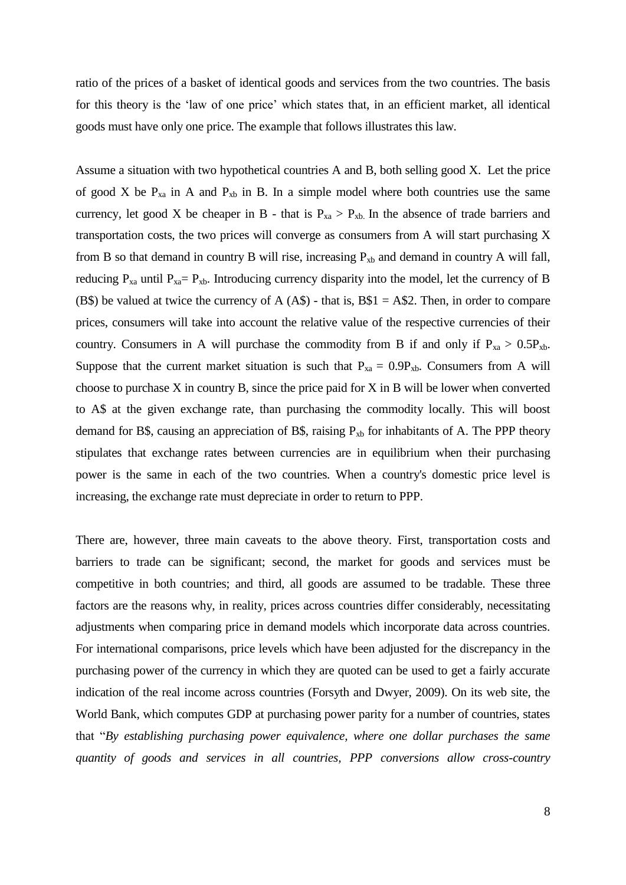ratio of the prices of a basket of identical goods and services from the two countries. The basis for this theory is the 'law of one price' which states that, in an efficient market, all identical goods must have only one price. The example that follows illustrates this law.

Assume a situation with two hypothetical countries A and B, both selling good X. Let the price of good X be  $P_{xa}$  in A and  $P_{xb}$  in B. In a simple model where both countries use the same currency, let good X be cheaper in B - that is  $P_{xa} > P_{xb}$ . In the absence of trade barriers and transportation costs, the two prices will converge as consumers from A will start purchasing X from B so that demand in country B will rise, increasing  $P_{xb}$  and demand in country A will fall, reducing  $P_{xa}$  until  $P_{xa} = P_{xb}$ . Introducing currency disparity into the model, let the currency of B (B\$) be valued at twice the currency of A  $(A\$ ) - that is, B\$1 = A\$2. Then, in order to compare prices, consumers will take into account the relative value of the respective currencies of their country. Consumers in A will purchase the commodity from B if and only if  $P_{xa} > 0.5P_{xb}$ . Suppose that the current market situation is such that  $P_{xa} = 0.9P_{xb}$ . Consumers from A will choose to purchase X in country B, since the price paid for X in B will be lower when converted to A\$ at the given exchange rate, than purchasing the commodity locally. This will boost demand for B\$, causing an appreciation of B\$, raising  $P_{xb}$  for inhabitants of A. The PPP theory stipulates that exchange rates between currencies are in equilibrium when their purchasing power is the same in each of the two countries. When a country's domestic price level is increasing, the exchange rate must depreciate in order to return to PPP.

There are, however, three main caveats to the above theory. First, transportation costs and barriers to trade can be significant; second, the market for goods and services must be competitive in both countries; and third, all goods are assumed to be tradable. These three factors are the reasons why, in reality, prices across countries differ considerably, necessitating adjustments when comparing price in demand models which incorporate data across countries. For international comparisons, price levels which have been adjusted for the discrepancy in the purchasing power of the currency in which they are quoted can be used to get a fairly accurate indication of the real income across countries (Forsyth and Dwyer, 2009). On its web site, the World Bank, which computes GDP at purchasing power parity for a number of countries, states that "*By establishing purchasing power equivalence, where one dollar purchases the same quantity of goods and services in all countries, PPP conversions allow cross-country*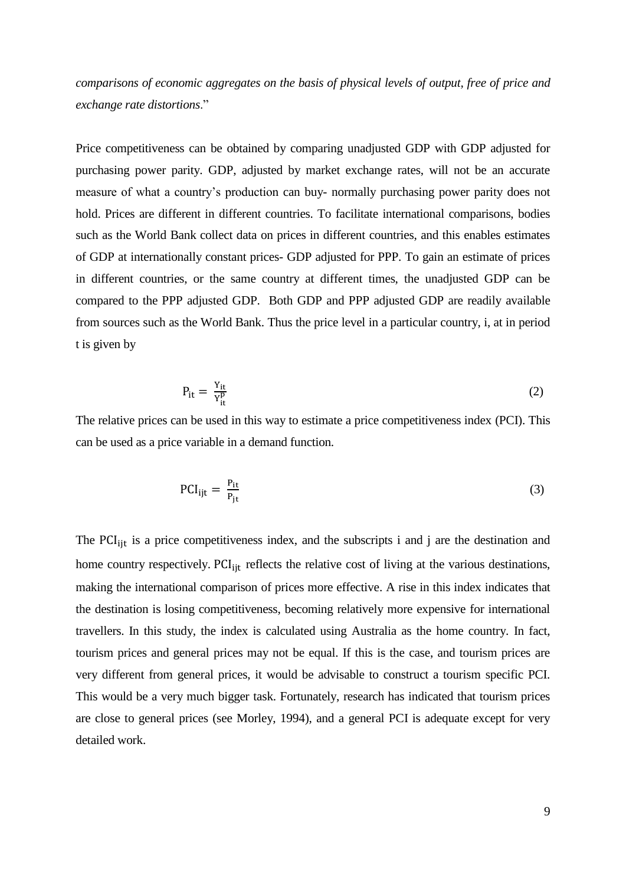*comparisons of economic aggregates on the basis of physical levels of output, free of price and exchange rate distortions*."

Price competitiveness can be obtained by comparing unadjusted GDP with GDP adjusted for purchasing power parity. GDP, adjusted by market exchange rates, will not be an accurate measure of what a country's production can buy- normally purchasing power parity does not hold. Prices are different in different countries. To facilitate international comparisons, bodies such as the World Bank collect data on prices in different countries, and this enables estimates of GDP at internationally constant prices- GDP adjusted for PPP. To gain an estimate of prices in different countries, or the same country at different times, the unadjusted GDP can be compared to the PPP adjusted GDP. Both GDP and PPP adjusted GDP are readily available from sources such as the World Bank. Thus the price level in a particular country, i, at in period t is given by

$$
P_{it} = \frac{Y_{it}}{Y_{it}^p}
$$
 (2)

The relative prices can be used in this way to estimate a price competitiveness index (PCI). This can be used as a price variable in a demand function.

$$
PCI_{ijt} = \frac{P_{it}}{P_{jt}} \tag{3}
$$

The  $\text{PCI}_{ijt}$  is a price competitiveness index, and the subscripts i and j are the destination and home country respectively. PCI<sub>iit</sub> reflects the relative cost of living at the various destinations, making the international comparison of prices more effective. A rise in this index indicates that the destination is losing competitiveness, becoming relatively more expensive for international travellers. In this study, the index is calculated using Australia as the home country. In fact, tourism prices and general prices may not be equal. If this is the case, and tourism prices are very different from general prices, it would be advisable to construct a tourism specific PCI. This would be a very much bigger task. Fortunately, research has indicated that tourism prices are close to general prices (see Morley, 1994), and a general PCI is adequate except for very detailed work.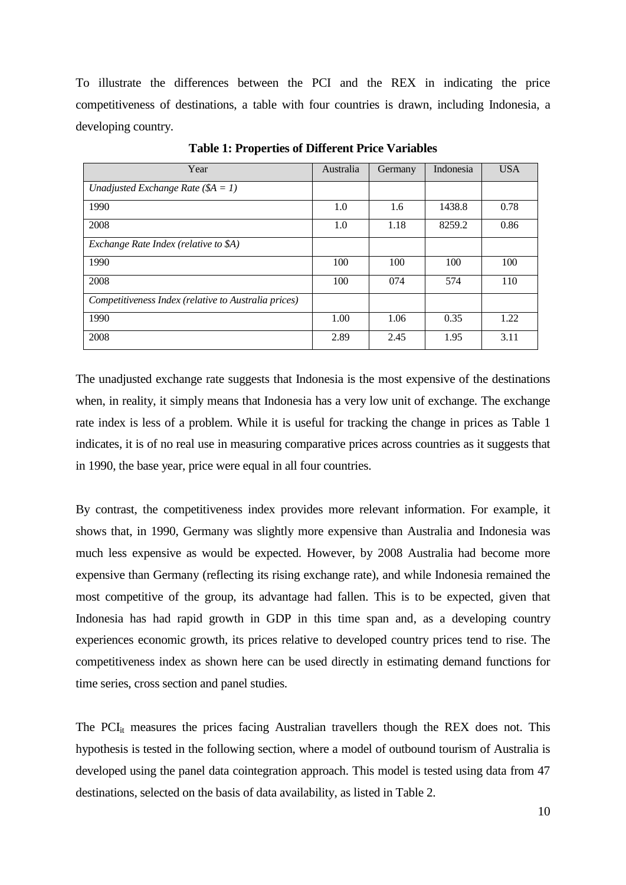To illustrate the differences between the PCI and the REX in indicating the price competitiveness of destinations, a table with four countries is drawn, including Indonesia, a developing country.

| Year                                                 | Australia | Germany | Indonesia | <b>USA</b> |
|------------------------------------------------------|-----------|---------|-----------|------------|
| Unadjusted Exchange Rate $(\$A = 1)$                 |           |         |           |            |
| 1990                                                 | 1.0       | 1.6     | 1438.8    | 0.78       |
| 2008                                                 | 1.0       | 1.18    | 8259.2    | 0.86       |
| Exchange Rate Index (relative to \$A)                |           |         |           |            |
| 1990                                                 | 100       | 100     | 100       | 100        |
| 2008                                                 | 100       | 074     | 574       | 110        |
| Competitiveness Index (relative to Australia prices) |           |         |           |            |
| 1990                                                 | 1.00      | 1.06    | 0.35      | 1.22       |
| 2008                                                 | 2.89      | 2.45    | 1.95      | 3.11       |

**Table 1: Properties of Different Price Variables**

The unadjusted exchange rate suggests that Indonesia is the most expensive of the destinations when, in reality, it simply means that Indonesia has a very low unit of exchange. The exchange rate index is less of a problem. While it is useful for tracking the change in prices as Table 1 indicates, it is of no real use in measuring comparative prices across countries as it suggests that in 1990, the base year, price were equal in all four countries.

By contrast, the competitiveness index provides more relevant information. For example, it shows that, in 1990, Germany was slightly more expensive than Australia and Indonesia was much less expensive as would be expected. However, by 2008 Australia had become more expensive than Germany (reflecting its rising exchange rate), and while Indonesia remained the most competitive of the group, its advantage had fallen. This is to be expected, given that Indonesia has had rapid growth in GDP in this time span and, as a developing country experiences economic growth, its prices relative to developed country prices tend to rise. The competitiveness index as shown here can be used directly in estimating demand functions for time series, cross section and panel studies.

The  $\text{PCI}_{it}$  measures the prices facing Australian travellers though the REX does not. This hypothesis is tested in the following section, where a model of outbound tourism of Australia is developed using the panel data cointegration approach. This model is tested using data from 47 destinations, selected on the basis of data availability, as listed in Table 2.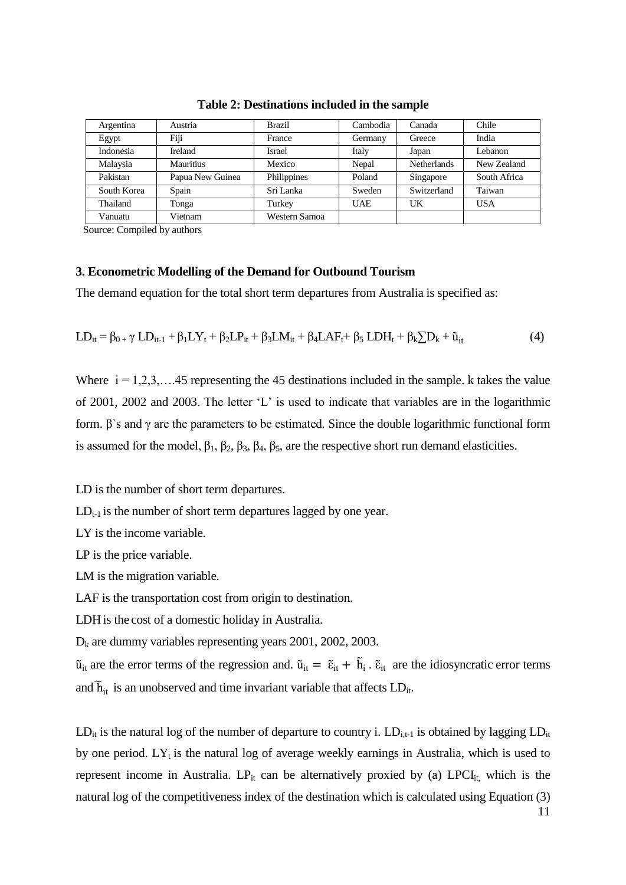| Argentina   | Austria          | <b>Brazil</b> | Cambodia   | Canada             | Chile        |
|-------------|------------------|---------------|------------|--------------------|--------------|
| Egypt       | Fiji             | France        | Germany    | Greece             | India        |
| Indonesia   | Ireland          | Israel        | Italy      | Japan              | Lebanon      |
| Malaysia    | <b>Mauritius</b> | Mexico        | Nepal      | <b>Netherlands</b> | New Zealand  |
| Pakistan    | Papua New Guinea | Philippines   | Poland     | Singapore          | South Africa |
| South Korea | Spain            | Sri Lanka     | Sweden     | Switzerland        | Taiwan       |
| Thailand    | Tonga            | Turkey        | <b>UAE</b> | UK                 | <b>USA</b>   |
| Vanuatu     | Vietnam          | Western Samoa |            |                    |              |

**Table 2: Destinations included in the sample**

Source: Compiled by authors

#### **3. Econometric Modelling of the Demand for Outbound Tourism**

The demand equation for the total short term departures from Australia is specified as:

$$
LD_{it} = \beta_{0+} \gamma LD_{it-1} + \beta_1 LY_t + \beta_2 LP_{it} + \beta_3 LM_{it} + \beta_4 LAF_t + \beta_5 LDH_t + \beta_k \sum D_k + \tilde{u}_{it}
$$
(4)

Where  $i = 1, 2, 3, \ldots$  45 representing the 45 destinations included in the sample. k takes the value of 2001, 2002 and 2003. The letter 'L' is used to indicate that variables are in the logarithmic form. β`s and γ are the parameters to be estimated. Since the double logarithmic functional form is assumed for the model,  $β_1$ ,  $β_2$ ,  $β_3$ ,  $β_4$ ,  $β_5$ , are the respective short run demand elasticities.

LD is the number of short term departures.

 $LD_{t-1}$  is the number of short term departures lagged by one year.

LY is the income variable.

LP is the price variable.

LM is the migration variable.

LAF is the transportation cost from origin to destination.

LDH is the cost of a domestic holiday in Australia.

 $D_k$  are dummy variables representing years 2001, 2002, 2003.

 $\tilde{u}_{it}$  are the error terms of the regression and.  $\tilde{u}_{it} = \tilde{\varepsilon}_{it} + \tilde{h}_i$ .  $\tilde{\varepsilon}_{it}$  are the idiosyncratic error terms and  $\widetilde{h}_{it}$  is an unobserved and time invariant variable that affects  $LD_{it}$ .

 $LD_{it}$  is the natural log of the number of departure to country i.  $LD_{i,t-1}$  is obtained by lagging  $LD_{it}$ by one period.  $LY_t$  is the natural log of average weekly earnings in Australia, which is used to represent income in Australia.  $LP_{it}$  can be alternatively proxied by (a)  $LPCI_{it}$ , which is the natural log of the competitiveness index of the destination which is calculated using Equation (3)

11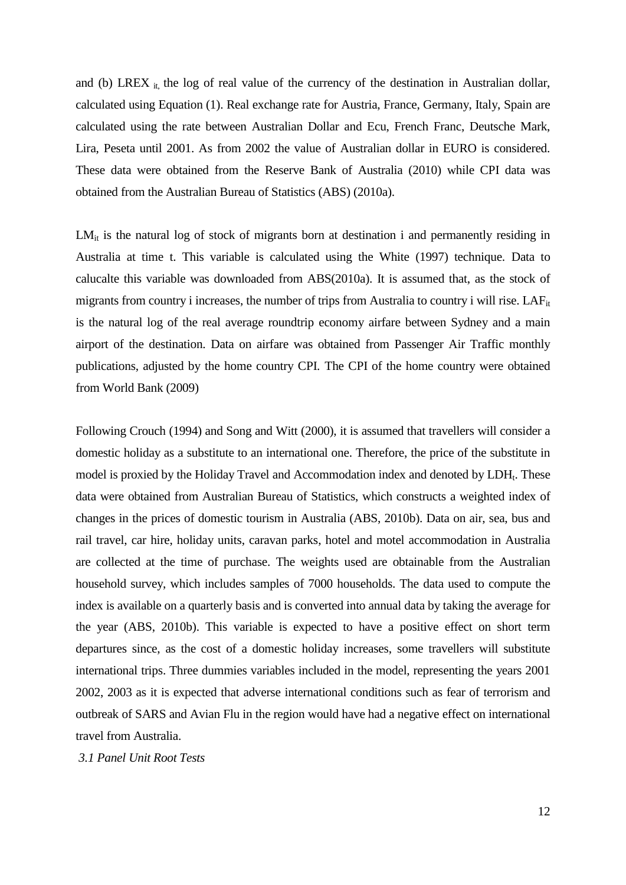and (b) LREX it, the log of real value of the currency of the destination in Australian dollar, calculated using Equation (1). Real exchange rate for Austria, France, Germany, Italy, Spain are calculated using the rate between Australian Dollar and Ecu, French Franc, Deutsche Mark, Lira, Peseta until 2001. As from 2002 the value of Australian dollar in EURO is considered. These data were obtained from the Reserve Bank of Australia (2010) while CPI data was obtained from the Australian Bureau of Statistics (ABS) (2010a).

 $LM_{it}$  is the natural log of stock of migrants born at destination i and permanently residing in Australia at time t. This variable is calculated using the White (1997) technique. Data to calucalte this variable was downloaded from ABS(2010a). It is assumed that, as the stock of migrants from country i increases, the number of trips from Australia to country i will rise. LA $F_{it}$ is the natural log of the real average roundtrip economy airfare between Sydney and a main airport of the destination. Data on airfare was obtained from Passenger Air Traffic monthly publications, adjusted by the home country CPI. The CPI of the home country were obtained from World Bank (2009)

Following Crouch (1994) and Song and Witt (2000), it is assumed that travellers will consider a domestic holiday as a substitute to an international one. Therefore, the price of the substitute in model is proxied by the Holiday Travel and Accommodation index and denoted by LDH<sub>t</sub>. These data were obtained from Australian Bureau of Statistics, which constructs a weighted index of changes in the prices of domestic tourism in Australia (ABS, 2010b). Data on air, sea, bus and rail travel, car hire, holiday units, caravan parks, hotel and motel accommodation in Australia are collected at the time of purchase. The weights used are obtainable from the Australian household survey, which includes samples of 7000 households. The data used to compute the index is available on a quarterly basis and is converted into annual data by taking the average for the year (ABS, 2010b). This variable is expected to have a positive effect on short term departures since, as the cost of a domestic holiday increases, some travellers will substitute international trips. Three dummies variables included in the model, representing the years 2001 2002, 2003 as it is expected that adverse international conditions such as fear of terrorism and outbreak of SARS and Avian Flu in the region would have had a negative effect on international travel from Australia.

*3.1 Panel Unit Root Tests*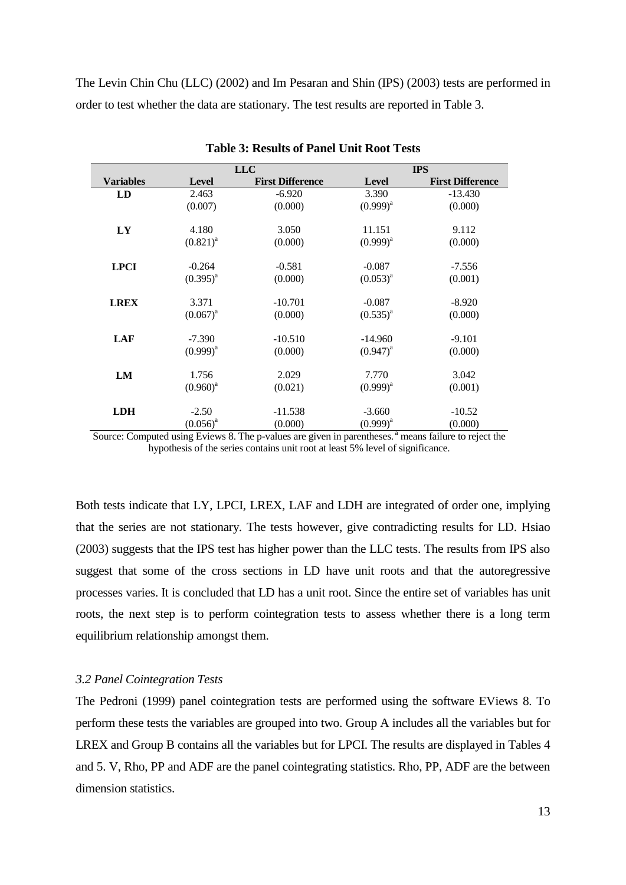The Levin Chin Chu (LLC) (2002) and Im Pesaran and Shin (IPS) (2003) tests are performed in order to test whether the data are stationary. The test results are reported in Table 3.

|                  |               | <b>LLC</b>              |               | <b>IPS</b>              |
|------------------|---------------|-------------------------|---------------|-------------------------|
| <b>Variables</b> | <b>Level</b>  | <b>First Difference</b> | <b>Level</b>  | <b>First Difference</b> |
| LD               | 2.463         | $-6.920$                | 3.390         | $-13.430$               |
|                  | (0.007)       | (0.000)                 | $(0.999)^{a}$ | (0.000)                 |
| LY               | 4.180         | 3.050                   | 11.151        | 9.112                   |
|                  | $(0.821)^{a}$ | (0.000)                 | $(0.999)^{a}$ | (0.000)                 |
| <b>LPCI</b>      | $-0.264$      | $-0.581$                | $-0.087$      | $-7.556$                |
|                  | $(0.395)^{a}$ | (0.000)                 | $(0.053)^{a}$ | (0.001)                 |
| <b>LREX</b>      | 3.371         | $-10.701$               | $-0.087$      | $-8.920$                |
|                  | $(0.067)^{a}$ | (0.000)                 | $(0.535)^{a}$ | (0.000)                 |
| <b>LAF</b>       | $-7.390$      | $-10.510$               | $-14.960$     | $-9.101$                |
|                  | $(0.999)^{a}$ | (0.000)                 | $(0.947)^{a}$ | (0.000)                 |
| LM               | 1.756         | 2.029                   | 7.770         | 3.042                   |
|                  | $(0.960)^{a}$ | (0.021)                 | $(0.999)^{a}$ | (0.001)                 |
| <b>LDH</b>       | $-2.50$       | $-11.538$               | $-3.660$      | $-10.52$                |
|                  | $(0.056)^{a}$ | (0.000)                 | $(0.999)^{a}$ | (0.000)                 |

**Table 3: Results of Panel Unit Root Tests**

Source: Computed using Eviews 8. The p-values are given in parentheses.<sup>a</sup> means failure to reject the hypothesis of the series contains unit root at least 5% level of significance.

Both tests indicate that LY, LPCI, LREX, LAF and LDH are integrated of order one, implying that the series are not stationary. The tests however, give contradicting results for LD. Hsiao (2003) suggests that the IPS test has higher power than the LLC tests. The results from IPS also suggest that some of the cross sections in LD have unit roots and that the autoregressive processes varies. It is concluded that LD has a unit root. Since the entire set of variables has unit roots, the next step is to perform cointegration tests to assess whether there is a long term equilibrium relationship amongst them.

# *3.2 Panel Cointegration Tests*

The Pedroni (1999) panel cointegration tests are performed using the software EViews 8. To perform these tests the variables are grouped into two. Group A includes all the variables but for LREX and Group B contains all the variables but for LPCI. The results are displayed in Tables 4 and 5. V, Rho, PP and ADF are the panel cointegrating statistics. Rho, PP, ADF are the between dimension statistics.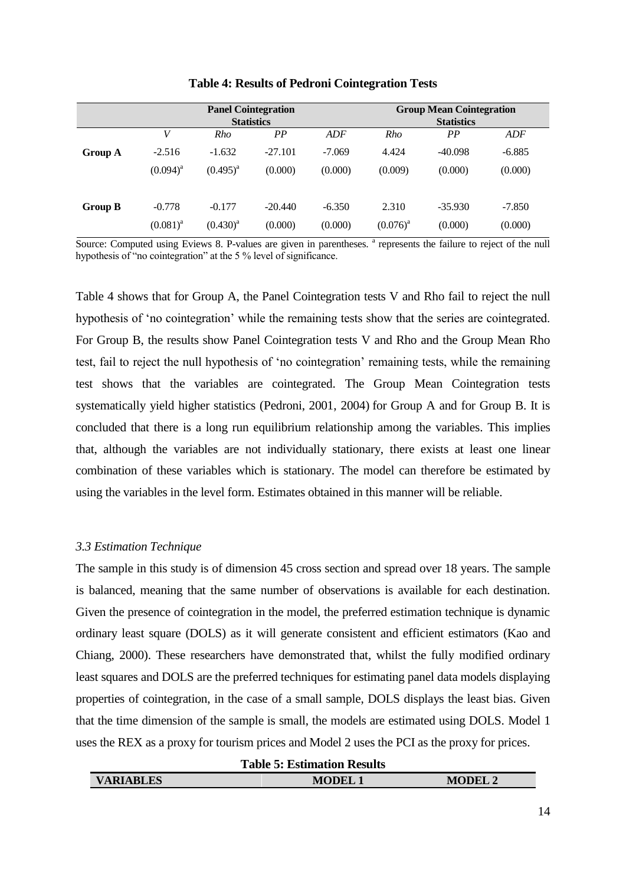|                |               | <b>Panel Cointegration</b><br><b>Statistics</b> |           |          |               | <b>Group Mean Cointegration</b><br><b>Statistics</b> |          |
|----------------|---------------|-------------------------------------------------|-----------|----------|---------------|------------------------------------------------------|----------|
|                | V             | Rho                                             | PP        | ADF      | Rho           | PP                                                   | ADF      |
| <b>Group A</b> | $-2.516$      | $-1.632$                                        | $-27.101$ | $-7.069$ | 4.424         | $-40.098$                                            | $-6.885$ |
|                | $(0.094)^{a}$ | $(0.495)^{a}$                                   | (0.000)   | (0.000)  | (0.009)       | (0.000)                                              | (0.000)  |
|                |               |                                                 |           |          |               |                                                      |          |
| <b>Group B</b> | $-0.778$      | $-0.177$                                        | $-20.440$ | $-6.350$ | 2.310         | $-35.930$                                            | $-7.850$ |
|                | $(0.081)^{a}$ | $(0.430)^{a}$                                   | (0.000)   | (0.000)  | $(0.076)^{a}$ | (0.000)                                              | (0.000)  |

**Table 4: Results of Pedroni Cointegration Tests**

Source: Computed using Eviews 8. P-values are given in parentheses. <sup>a</sup> represents the failure to reject of the null hypothesis of "no cointegration" at the 5 % level of significance.

Table 4 shows that for Group A, the Panel Cointegration tests V and Rho fail to reject the null hypothesis of 'no cointegration' while the remaining tests show that the series are cointegrated. For Group B, the results show Panel Cointegration tests V and Rho and the Group Mean Rho test, fail to reject the null hypothesis of 'no cointegration' remaining tests, while the remaining test shows that the variables are cointegrated. The Group Mean Cointegration tests systematically yield higher statistics (Pedroni, 2001, 2004) for Group A and for Group B. It is concluded that there is a long run equilibrium relationship among the variables. This implies that, although the variables are not individually stationary, there exists at least one linear combination of these variables which is stationary. The model can therefore be estimated by using the variables in the level form. Estimates obtained in this manner will be reliable.

## *3.3 Estimation Technique*

The sample in this study is of dimension 45 cross section and spread over 18 years. The sample is balanced, meaning that the same number of observations is available for each destination. Given the presence of cointegration in the model, the preferred estimation technique is dynamic ordinary least square (DOLS) as it will generate consistent and efficient estimators (Kao and Chiang, 2000). These researchers have demonstrated that, whilst the fully modified ordinary least squares and DOLS are the preferred techniques for estimating panel data models displaying properties of cointegration, in the case of a small sample, DOLS displays the least bias. Given that the time dimension of the sample is small, the models are estimated using DOLS. Model 1 uses the REX as a proxy for tourism prices and Model 2 uses the PCI as the proxy for prices.

**Table 5: Estimation Results**

| <b>VARIABLES</b> | <b>MODEL1</b> | <b>MODEL 2</b> |
|------------------|---------------|----------------|
|                  |               |                |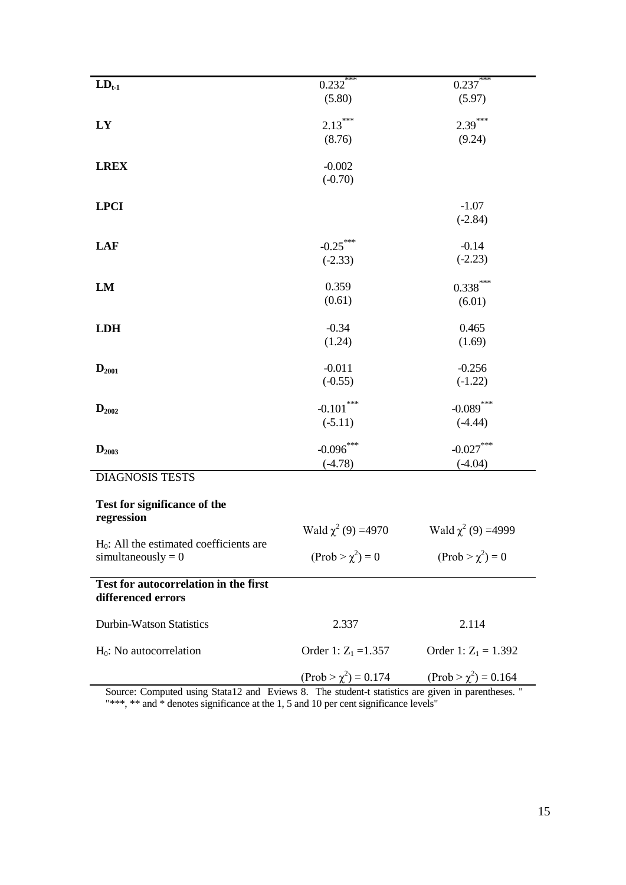| $LD_{t-1}$                                                                                                                                              | $0.232***$               | $0.237***$              |
|---------------------------------------------------------------------------------------------------------------------------------------------------------|--------------------------|-------------------------|
|                                                                                                                                                         | (5.80)                   | (5.97)                  |
| LY                                                                                                                                                      | $2.13***$                | $2.39***$               |
|                                                                                                                                                         |                          | (9.24)                  |
|                                                                                                                                                         | (8.76)                   |                         |
| <b>LREX</b>                                                                                                                                             | $-0.002$                 |                         |
|                                                                                                                                                         | $(-0.70)$                |                         |
|                                                                                                                                                         |                          |                         |
| <b>LPCI</b>                                                                                                                                             |                          | $-1.07$                 |
|                                                                                                                                                         |                          | $(-2.84)$               |
|                                                                                                                                                         |                          |                         |
| <b>LAF</b>                                                                                                                                              | $-0.25***$               | $-0.14$                 |
|                                                                                                                                                         | $(-2.33)$                | $(-2.23)$               |
|                                                                                                                                                         |                          |                         |
| LM                                                                                                                                                      | 0.359                    | $0.338***$              |
|                                                                                                                                                         | (0.61)                   | (6.01)                  |
|                                                                                                                                                         |                          |                         |
| <b>LDH</b>                                                                                                                                              | $-0.34$                  | 0.465                   |
|                                                                                                                                                         | (1.24)                   | (1.69)                  |
|                                                                                                                                                         |                          |                         |
| $\mathbf{D}_{2001}$                                                                                                                                     | $-0.011$                 | $-0.256$                |
|                                                                                                                                                         | $(-0.55)$                | $(-1.22)$               |
|                                                                                                                                                         | $-0.101***$              | $-0.089$ ***            |
| $\mathbf{D}_{2002}$                                                                                                                                     |                          |                         |
|                                                                                                                                                         | $(-5.11)$                | $(-4.44)$               |
| $\mathbf{D}_{2003}$                                                                                                                                     | $-0.096$ ***             | $-0.027$ ***            |
|                                                                                                                                                         | $(-4.78)$                | $(-4.04)$               |
| <b>DIAGNOSIS TESTS</b>                                                                                                                                  |                          |                         |
|                                                                                                                                                         |                          |                         |
| Test for significance of the                                                                                                                            |                          |                         |
| regression                                                                                                                                              |                          |                         |
|                                                                                                                                                         | Wald $\chi^2$ (9) = 4970 | Wald $\chi^2$ (9) =4999 |
| $H_0$ : All the estimated coefficients are                                                                                                              |                          |                         |
| simultaneously = $0$                                                                                                                                    | $(Prob > \chi^2) = 0$    | $(Prob > \chi^2) = 0$   |
|                                                                                                                                                         |                          |                         |
| Test for autocorrelation in the first                                                                                                                   |                          |                         |
| differenced errors                                                                                                                                      |                          |                         |
|                                                                                                                                                         |                          |                         |
| Durbin-Watson Statistics                                                                                                                                | 2.337                    | 2.114                   |
|                                                                                                                                                         |                          |                         |
| $H_0$ : No autocorrelation                                                                                                                              | Order 1: $Z_1 = 1.357$   | Order 1: $Z_1 = 1.392$  |
|                                                                                                                                                         |                          |                         |
| $(Prob > \chi^2) = 0.174$ $(Prob > \chi^2) = 0.164$<br>Source: Computed using Stata 12 and Eviews 8. The student-t statistics are given in parentheses. |                          |                         |

Source: Computed using Stata12 and Eviews 8. The student-t statistics are given in parentheses. " "\*\*\*, \*\* and \* denotes significance at the 1, 5 and 10 per cent significance levels"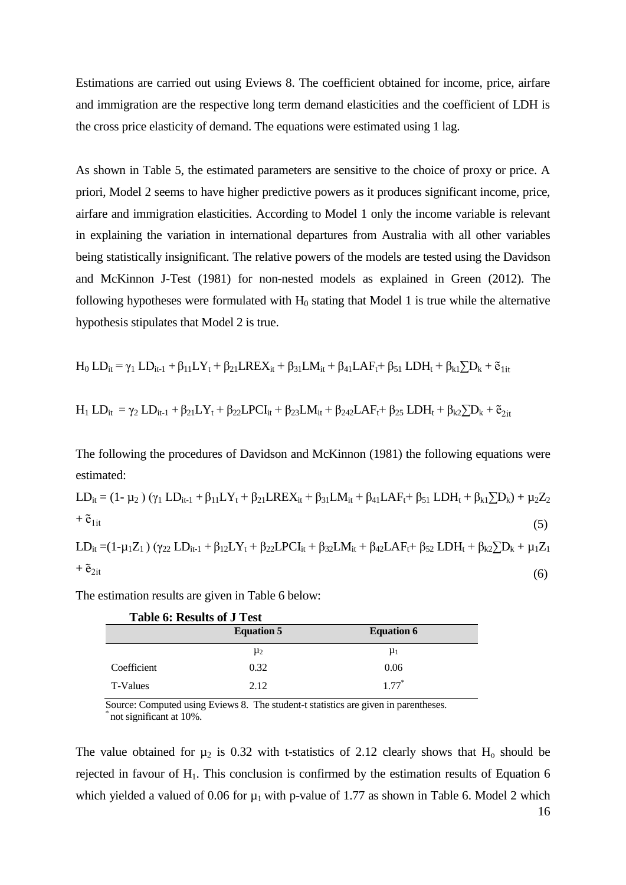Estimations are carried out using Eviews 8. The coefficient obtained for income, price, airfare and immigration are the respective long term demand elasticities and the coefficient of LDH is the cross price elasticity of demand. The equations were estimated using 1 lag.

As shown in Table 5, the estimated parameters are sensitive to the choice of proxy or price. A priori, Model 2 seems to have higher predictive powers as it produces significant income, price, airfare and immigration elasticities. According to Model 1 only the income variable is relevant in explaining the variation in international departures from Australia with all other variables being statistically insignificant. The relative powers of the models are tested using the Davidson and McKinnon J-Test (1981) for non-nested models as explained in Green (2012). The following hypotheses were formulated with  $H_0$  stating that Model 1 is true while the alternative hypothesis stipulates that Model 2 is true.

$$
H_0\,LD_{it} = \gamma_1\,LD_{it\text{-}1} + \beta_{11}LY_t + \beta_{21}LREX_{it} + \beta_{31}LM_{it} + \beta_{41}LAF_t + \beta_{51}\,LDH_t + \beta_{k1}\textcolor{red}{\textstyle \sum}D_k + \widetilde{e}_{1it}
$$

$$
H_{1} \; L D_{it} \; = \gamma_{2} \; L D_{it\text{-}1} + \beta_{21} L Y_{t} + \beta_{22} L P C I_{it} + \beta_{23} L M_{it} + \beta_{242} L A F_{t} + \beta_{25} \; L D H_{t} + \beta_{k2} \sum D_{k} + \tilde{e}_{2it}
$$

The following the procedures of Davidson and McKinnon (1981) the following equations were estimated:

$$
LD_{it} = (1 - \mu_2) (\gamma_1 LD_{it-1} + \beta_{11} LY_t + \beta_{21} LREX_{it} + \beta_{31} LM_{it} + \beta_{41} LAF_t + \beta_{51} LDH_t + \beta_{k1} \sum D_k) + \mu_2 Z_2
$$
  
+  $\tilde{e}_{1it}$  (5)

LD<sub>it</sub> =(1-μ<sub>1</sub>Z<sub>1</sub>) (γ<sub>22</sub> LD<sub>it-1</sub> + β<sub>12</sub>LY<sub>t</sub> + β<sub>22</sub>LPCI<sub>it</sub> + β<sub>32</sub>LM<sub>it</sub> + β<sub>42</sub>LAF<sub>t</sub>+ β<sub>52</sub> LDH<sub>t</sub> + β<sub>k2</sub> $\Sigma$ D<sub>k</sub> + μ<sub>1</sub>Z<sub>1</sub>  $+$  $\tilde{e}_{2it}$ (6)

The estimation results are given in Table 6 below:

| <b>Table 6: Results of J Test</b> |                   |                   |  |
|-----------------------------------|-------------------|-------------------|--|
|                                   | <b>Equation 5</b> | <b>Equation 6</b> |  |
|                                   | $\mu_2$           | $\mu_1$           |  |
| Coefficient                       | 0.32              | 0.06              |  |
| T-Values                          | 2.12              | $1.77*$           |  |

Source: Computed using Eviews 8. The student-t statistics are given in parentheses. \* not significant at 10%.

The value obtained for  $\mu_2$  is 0.32 with t-statistics of 2.12 clearly shows that H<sub>0</sub> should be rejected in favour of  $H_1$ . This conclusion is confirmed by the estimation results of Equation 6 which yielded a valued of 0.06 for  $\mu_1$  with p-value of 1.77 as shown in Table 6. Model 2 which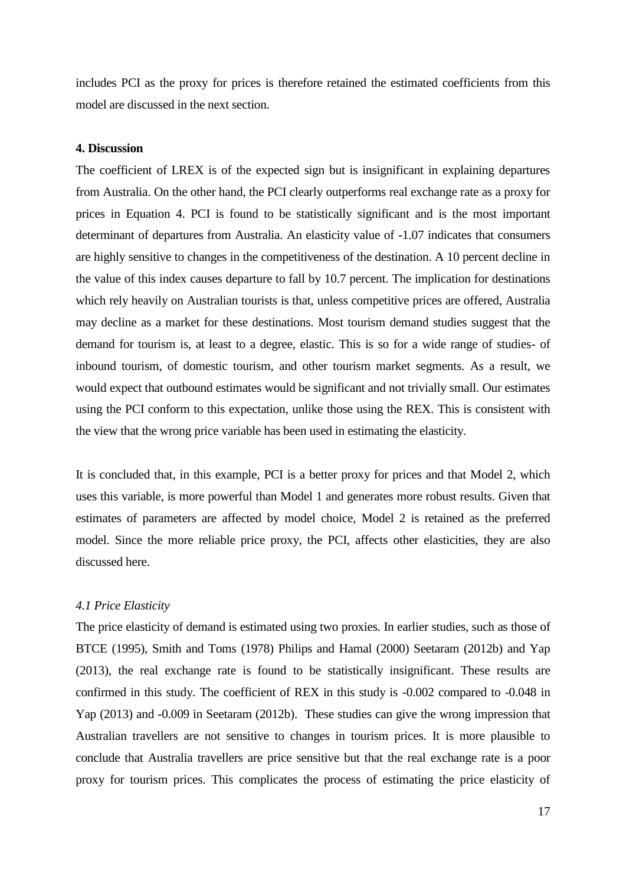includes PCI as the proxy for prices is therefore retained the estimated coefficients from this model are discussed in the next section.

## **4. Discussion**

The coefficient of LREX is of the expected sign but is insignificant in explaining departures from Australia. On the other hand, the PCI clearly outperforms real exchange rate as a proxy for prices in Equation 4. PCI is found to be statistically significant and is the most important determinant of departures from Australia. An elasticity value of -1.07 indicates that consumers are highly sensitive to changes in the competitiveness of the destination. A 10 percent decline in the value of this index causes departure to fall by 10.7 percent. The implication for destinations which rely heavily on Australian tourists is that, unless competitive prices are offered, Australia may decline as a market for these destinations. Most tourism demand studies suggest that the demand for tourism is, at least to a degree, elastic. This is so for a wide range of studies- of inbound tourism, of domestic tourism, and other tourism market segments. As a result, we would expect that outbound estimates would be significant and not trivially small. Our estimates using the PCI conform to this expectation, unlike those using the REX. This is consistent with the view that the wrong price variable has been used in estimating the elasticity.

It is concluded that, in this example, PCI is a better proxy for prices and that Model 2, which uses this variable, is more powerful than Model 1 and generates more robust results. Given that estimates of parameters are affected by model choice, Model 2 is retained as the preferred model. Since the more reliable price proxy, the PCI, affects other elasticities, they are also discussed here.

# *4.1 Price Elasticity*

The price elasticity of demand is estimated using two proxies. In earlier studies, such as those of BTCE (1995), Smith and Toms (1978) Philips and Hamal (2000) Seetaram (2012b) and Yap (2013), the real exchange rate is found to be statistically insignificant. These results are confirmed in this study. The coefficient of REX in this study is -0.002 compared to -0.048 in Yap (2013) and -0.009 in Seetaram (2012b). These studies can give the wrong impression that Australian travellers are not sensitive to changes in tourism prices. It is more plausible to conclude that Australia travellers are price sensitive but that the real exchange rate is a poor proxy for tourism prices. This complicates the process of estimating the price elasticity of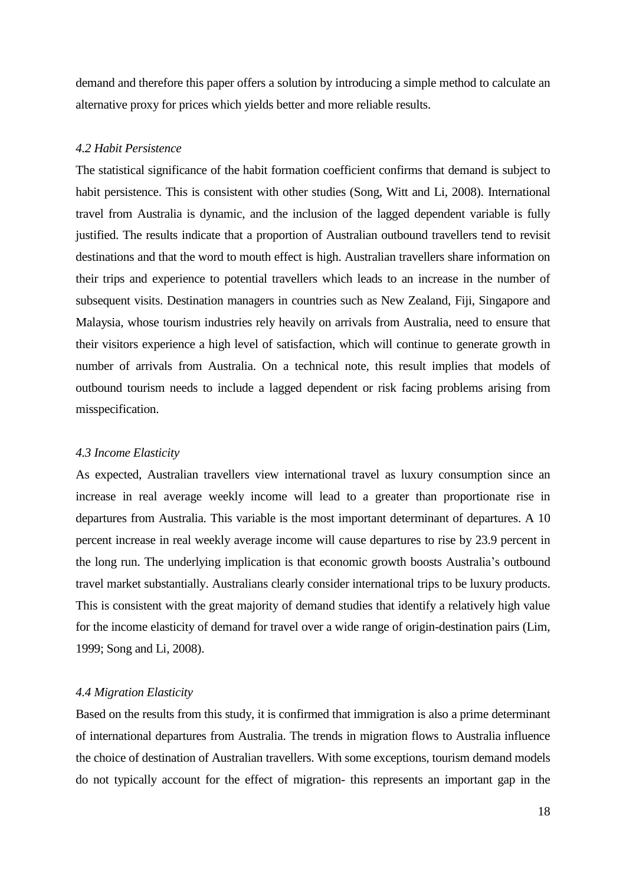demand and therefore this paper offers a solution by introducing a simple method to calculate an alternative proxy for prices which yields better and more reliable results.

## *4.2 Habit Persistence*

The statistical significance of the habit formation coefficient confirms that demand is subject to habit persistence. This is consistent with other studies (Song, Witt and Li, 2008). International travel from Australia is dynamic, and the inclusion of the lagged dependent variable is fully justified. The results indicate that a proportion of Australian outbound travellers tend to revisit destinations and that the word to mouth effect is high. Australian travellers share information on their trips and experience to potential travellers which leads to an increase in the number of subsequent visits. Destination managers in countries such as New Zealand, Fiji, Singapore and Malaysia, whose tourism industries rely heavily on arrivals from Australia, need to ensure that their visitors experience a high level of satisfaction, which will continue to generate growth in number of arrivals from Australia. On a technical note, this result implies that models of outbound tourism needs to include a lagged dependent or risk facing problems arising from misspecification.

## *4.3 Income Elasticity*

As expected, Australian travellers view international travel as luxury consumption since an increase in real average weekly income will lead to a greater than proportionate rise in departures from Australia. This variable is the most important determinant of departures. A 10 percent increase in real weekly average income will cause departures to rise by 23.9 percent in the long run. The underlying implication is that economic growth boosts Australia's outbound travel market substantially. Australians clearly consider international trips to be luxury products. This is consistent with the great majority of demand studies that identify a relatively high value for the income elasticity of demand for travel over a wide range of origin-destination pairs (Lim, 1999; Song and Li, 2008).

# *4.4 Migration Elasticity*

Based on the results from this study, it is confirmed that immigration is also a prime determinant of international departures from Australia. The trends in migration flows to Australia influence the choice of destination of Australian travellers. With some exceptions, tourism demand models do not typically account for the effect of migration- this represents an important gap in the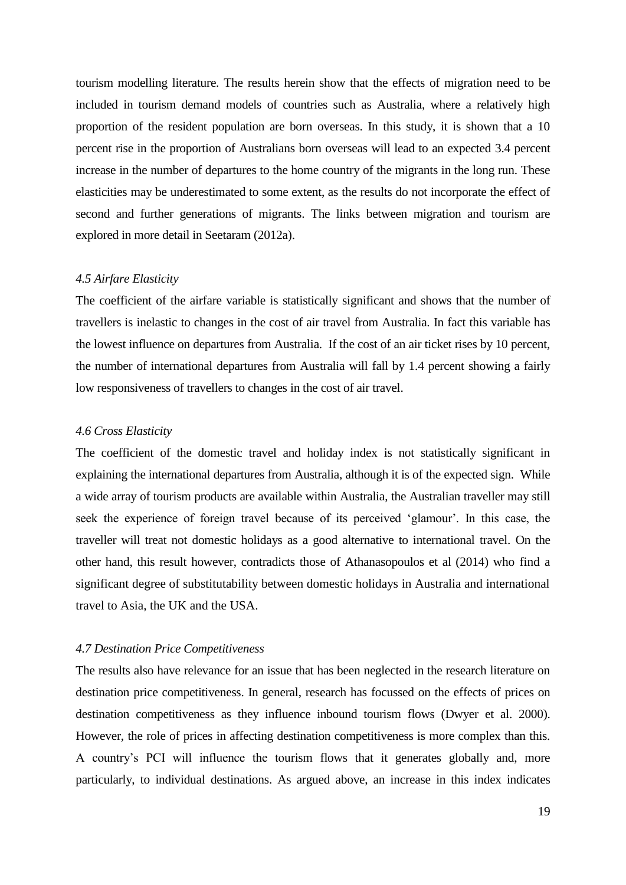tourism modelling literature. The results herein show that the effects of migration need to be included in tourism demand models of countries such as Australia, where a relatively high proportion of the resident population are born overseas. In this study, it is shown that a 10 percent rise in the proportion of Australians born overseas will lead to an expected 3.4 percent increase in the number of departures to the home country of the migrants in the long run. These elasticities may be underestimated to some extent, as the results do not incorporate the effect of second and further generations of migrants. The links between migration and tourism are explored in more detail in Seetaram (2012a).

#### *4.5 Airfare Elasticity*

The coefficient of the airfare variable is statistically significant and shows that the number of travellers is inelastic to changes in the cost of air travel from Australia. In fact this variable has the lowest influence on departures from Australia. If the cost of an air ticket rises by 10 percent, the number of international departures from Australia will fall by 1.4 percent showing a fairly low responsiveness of travellers to changes in the cost of air travel.

# *4.6 Cross Elasticity*

The coefficient of the domestic travel and holiday index is not statistically significant in explaining the international departures from Australia, although it is of the expected sign. While a wide array of tourism products are available within Australia, the Australian traveller may still seek the experience of foreign travel because of its perceived 'glamour'. In this case, the traveller will treat not domestic holidays as a good alternative to international travel. On the other hand, this result however, contradicts those of Athanasopoulos et al (2014) who find a significant degree of substitutability between domestic holidays in Australia and international travel to Asia, the UK and the USA.

## *4.7 Destination Price Competitiveness*

The results also have relevance for an issue that has been neglected in the research literature on destination price competitiveness. In general, research has focussed on the effects of prices on destination competitiveness as they influence inbound tourism flows (Dwyer et al. 2000). However, the role of prices in affecting destination competitiveness is more complex than this. A country's PCI will influence the tourism flows that it generates globally and, more particularly, to individual destinations. As argued above, an increase in this index indicates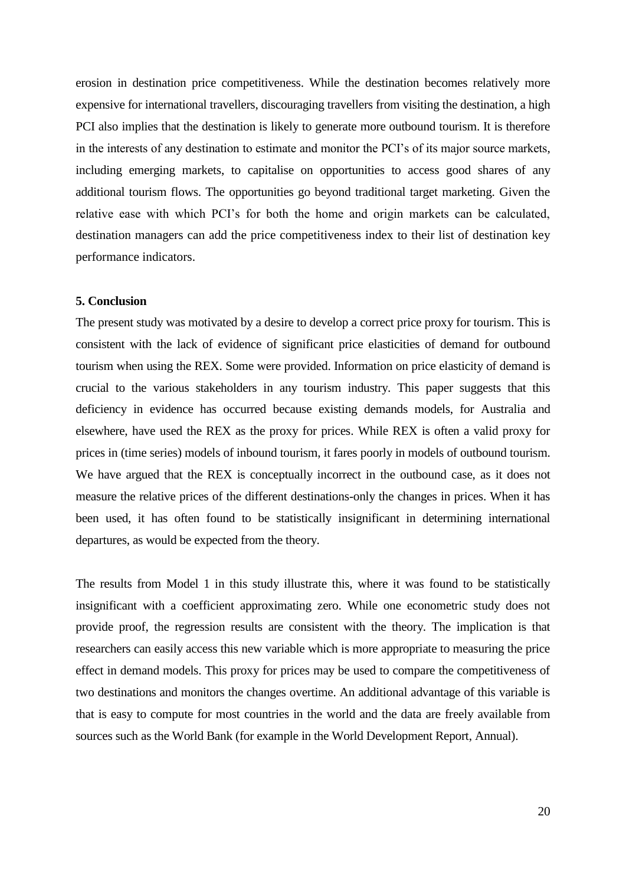erosion in destination price competitiveness. While the destination becomes relatively more expensive for international travellers, discouraging travellers from visiting the destination, a high PCI also implies that the destination is likely to generate more outbound tourism. It is therefore in the interests of any destination to estimate and monitor the PCI's of its major source markets, including emerging markets, to capitalise on opportunities to access good shares of any additional tourism flows. The opportunities go beyond traditional target marketing. Given the relative ease with which PCI's for both the home and origin markets can be calculated, destination managers can add the price competitiveness index to their list of destination key performance indicators.

## **5. Conclusion**

The present study was motivated by a desire to develop a correct price proxy for tourism. This is consistent with the lack of evidence of significant price elasticities of demand for outbound tourism when using the REX. Some were provided. Information on price elasticity of demand is crucial to the various stakeholders in any tourism industry. This paper suggests that this deficiency in evidence has occurred because existing demands models, for Australia and elsewhere, have used the REX as the proxy for prices. While REX is often a valid proxy for prices in (time series) models of inbound tourism, it fares poorly in models of outbound tourism. We have argued that the REX is conceptually incorrect in the outbound case, as it does not measure the relative prices of the different destinations-only the changes in prices. When it has been used, it has often found to be statistically insignificant in determining international departures, as would be expected from the theory.

The results from Model 1 in this study illustrate this, where it was found to be statistically insignificant with a coefficient approximating zero. While one econometric study does not provide proof, the regression results are consistent with the theory. The implication is that researchers can easily access this new variable which is more appropriate to measuring the price effect in demand models. This proxy for prices may be used to compare the competitiveness of two destinations and monitors the changes overtime. An additional advantage of this variable is that is easy to compute for most countries in the world and the data are freely available from sources such as the World Bank (for example in the World Development Report, Annual).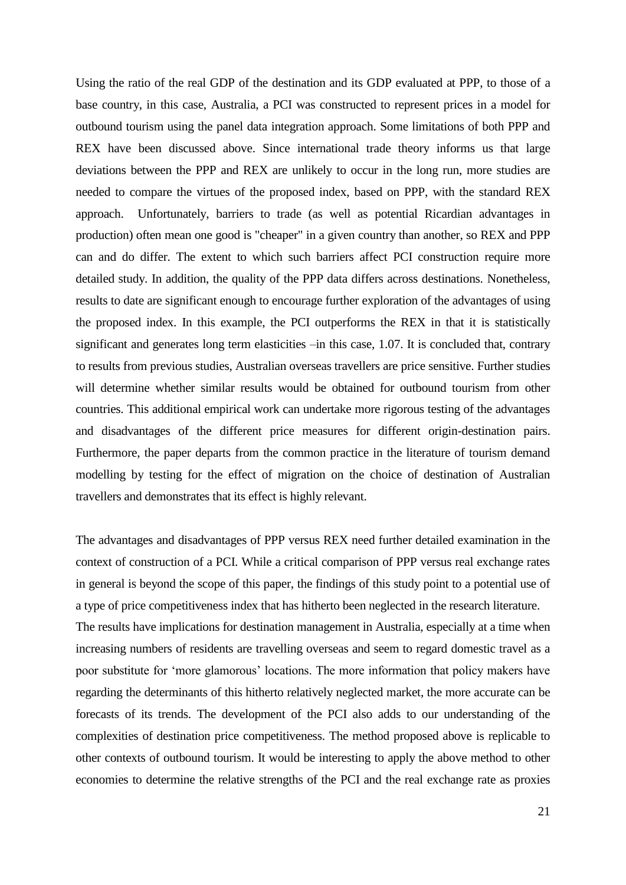Using the ratio of the real GDP of the destination and its GDP evaluated at PPP, to those of a base country, in this case, Australia, a PCI was constructed to represent prices in a model for outbound tourism using the panel data integration approach. Some limitations of both PPP and REX have been discussed above. Since international trade theory informs us that large deviations between the PPP and REX are unlikely to occur in the long run, more studies are needed to compare the virtues of the proposed index, based on PPP, with the standard REX approach. Unfortunately, barriers to trade (as well as potential Ricardian advantages in production) often mean one good is "cheaper" in a given country than another, so REX and PPP can and do differ. The extent to which such barriers affect PCI construction require more detailed study. In addition, the quality of the PPP data differs across destinations. Nonetheless, results to date are significant enough to encourage further exploration of the advantages of using the proposed index. In this example, the PCI outperforms the REX in that it is statistically significant and generates long term elasticities –in this case, 1.07. It is concluded that, contrary to results from previous studies, Australian overseas travellers are price sensitive. Further studies will determine whether similar results would be obtained for outbound tourism from other countries. This additional empirical work can undertake more rigorous testing of the advantages and disadvantages of the different price measures for different origin-destination pairs. Furthermore, the paper departs from the common practice in the literature of tourism demand modelling by testing for the effect of migration on the choice of destination of Australian travellers and demonstrates that its effect is highly relevant.

The advantages and disadvantages of PPP versus REX need further detailed examination in the context of construction of a PCI. While a critical comparison of PPP versus real exchange rates in general is beyond the scope of this paper, the findings of this study point to a potential use of a type of price competitiveness index that has hitherto been neglected in the research literature. The results have implications for destination management in Australia, especially at a time when increasing numbers of residents are travelling overseas and seem to regard domestic travel as a poor substitute for 'more glamorous' locations. The more information that policy makers have regarding the determinants of this hitherto relatively neglected market, the more accurate can be forecasts of its trends. The development of the PCI also adds to our understanding of the complexities of destination price competitiveness. The method proposed above is replicable to other contexts of outbound tourism. It would be interesting to apply the above method to other economies to determine the relative strengths of the PCI and the real exchange rate as proxies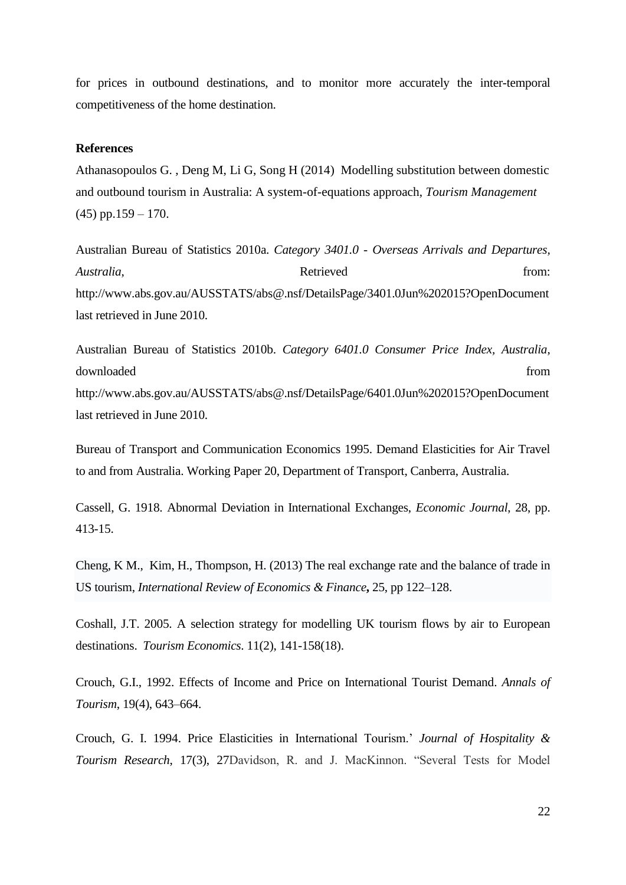for prices in outbound destinations, and to monitor more accurately the inter-temporal competitiveness of the home destination.

#### **References**

Athanasopoulos G. , Deng M, Li G, Song H (2014) Modelling substitution between domestic and outbound tourism in Australia: A system-of-equations approach, *Tourism Management*  $(45)$  pp.159 – 170.

Australian Bureau of Statistics 2010a. *Category 3401.0 - Overseas Arrivals and Departures, Australia*, *Retrieved from:* http://www.abs.gov.au/AUSSTATS/abs@.nsf/DetailsPage/3401.0Jun%202015?OpenDocument last retrieved in June 2010.

Australian Bureau of Statistics 2010b. *Category 6401.0 Consumer Price Index, Australia*, downloaded from the state of the state of the state of the state of the state of the state of the state of the state of the state of the state of the state of the state of the state of the state of the state of the state o http://www.abs.gov.au/AUSSTATS/abs@.nsf/DetailsPage/6401.0Jun%202015?OpenDocument last retrieved in June 2010.

Bureau of Transport and Communication Economics 1995. Demand Elasticities for Air Travel to and from Australia. Working Paper 20, Department of Transport, Canberra, Australia.

Cassell, G. 1918. Abnormal Deviation in International Exchanges, *Economic Journal*, 28, pp. 413-15.

[Cheng,](http://www.sciencedirect.com/science/article/pii/S1059056012000597) K M., [Kim,](http://www.sciencedirect.com/science/article/pii/S1059056012000597) H., [Thompson,](http://www.sciencedirect.com/science/article/pii/S1059056012000597) H. (2013) The real exchange rate and the balance of trade in US tourism, *[International](http://www.sciencedirect.com/science/journal/10590560/25/supp/C) Review of Economics & Finance***,** 25, pp 122–128.

Coshall, J.T. 2005. A selection strategy for modelling UK tourism flows by air to European destinations. *Tourism Economics*. 11(2), 141-158(18).

Crouch, G.I., 1992. Effects of Income and Price on International Tourist Demand. *Annals of Tourism*, 19(4), 643–664.

Crouch, G. I. 1994. Price Elasticities in International Tourism.' *Journal of Hospitality & Tourism Research*, 17(3), 27Davidson, R. and J. MacKinnon. "Several Tests for Model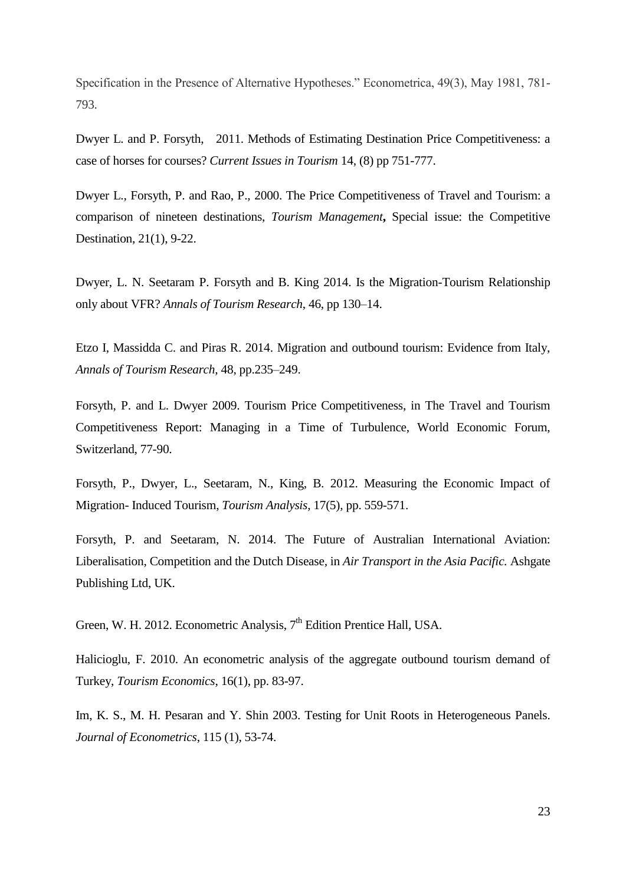Specification in the Presence of Alternative Hypotheses." Econometrica, 49(3), May 1981, 781- 793.

Dwyer L. and P. Forsyth, 2011. Methods of Estimating Destination Price Competitiveness: a case of horses for courses? *Current Issues in Tourism* 14, (8) pp 751-777.

Dwyer L., Forsyth, P. and Rao, P., 2000. The Price Competitiveness of Travel and Tourism: a comparison of nineteen destinations, *Tourism Management***,** Special issue: the Competitive Destination, 21(1), 9-22.

Dwyer, L. N. Seetaram P. Forsyth and B. King 2014. Is the Migration-Tourism Relationship only about VFR? *Annals of Tourism Research*, 46, pp 130–14.

Etzo I, Massidda C. and Piras R. 2014. Migration and outbound tourism: Evidence from Italy, *Annals of Tourism Research*, 48, pp.235–249.

Forsyth, P. and L. Dwyer 2009. Tourism Price Competitiveness, in The Travel and Tourism Competitiveness Report: Managing in a Time of Turbulence, World Economic Forum, Switzerland, 77-90.

Forsyth, P., Dwyer, L., Seetaram, N., King, B. 2012. Measuring the Economic Impact of Migration- Induced Tourism, *Tourism Analysis*, 17(5), pp. 559-571.

Forsyth, P. and Seetaram, N. 2014. The Future of Australian International Aviation: Liberalisation, Competition and the Dutch Disease*,* in *Air Transport in the Asia Pacific.* Ashgate Publishing Ltd, UK.

Green, W. H. 2012. Econometric Analysis, 7<sup>th</sup> Edition Prentice Hall, USA.

Halicioglu, F. 2010. An econometric analysis of the aggregate outbound tourism demand of Turkey, *[Tourism Economics](http://www.ingentaconnect.com/content/ip/tec)*, 16(1), pp. 83-97.

Im, K. S., M. H. Pesaran and Y. Shin 2003. Testing for Unit Roots in Heterogeneous Panels. *Journal of Econometrics*, 115 (1), 53-74.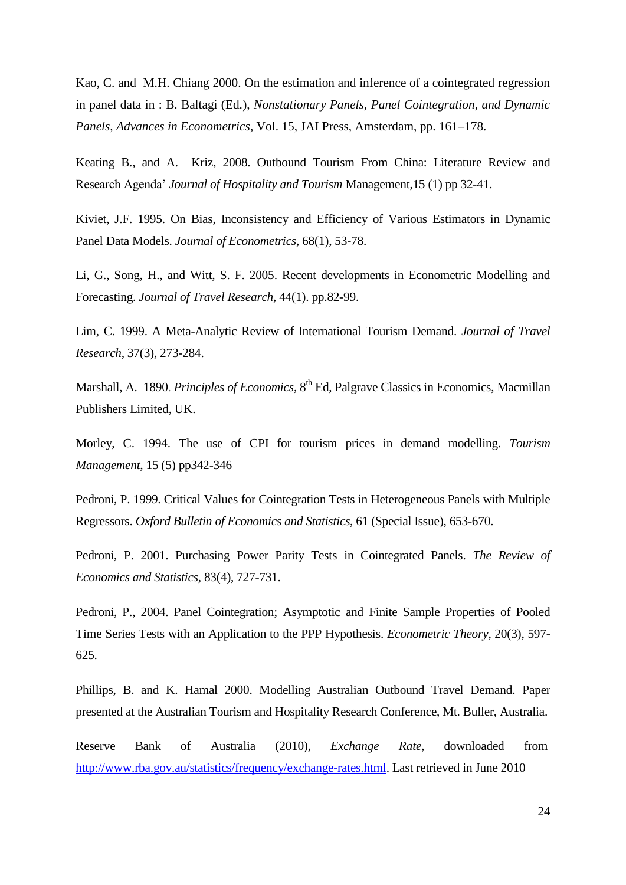Kao, C. and M.H. Chiang 2000. On the estimation and inference of a cointegrated regression in panel data in : B. Baltagi (Ed.), *Nonstationary Panels, Panel Cointegration, and Dynamic Panels, Advances in Econometrics*, Vol. 15, JAI Press, Amsterdam, pp. 161–178.

Keating B., and A. Kriz, 2008. Outbound Tourism From China: Literature Review and Research Agenda' *Journal of Hospitality and Tourism* Management,15 (1) pp 32-41.

Kiviet, J.F. 1995. On Bias, Inconsistency and Efficiency of Various Estimators in Dynamic Panel Data Models. *Journal of Econometrics*, 68(1), 53-78.

Li, G., Song, H., and Witt, S. F. 2005. Recent developments in Econometric Modelling and Forecasting. *Journal of Travel Research*, 44(1). pp.82-99.

Lim, C. 1999. A Meta-Analytic Review of International Tourism Demand. *Journal of Travel Research*, 37(3), 273-284.

Marshall, A. 1890. *Principles of Economics*, 8<sup>th</sup> Ed, Palgrave Classics in Economics, Macmillan Publishers Limited, UK.

Morley, C. 1994. The use of CPI for tourism prices in demand modelling. *Tourism Management*, 15 (5) pp342-346

Pedroni, P. 1999. Critical Values for Cointegration Tests in Heterogeneous Panels with Multiple Regressors. *Oxford Bulletin of Economics and Statistics*, 61 (Special Issue), 653-670.

Pedroni, P. 2001. Purchasing Power Parity Tests in Cointegrated Panels. *The Review of Economics and Statistics*, 83(4), 727-731.

Pedroni, P., 2004. Panel Cointegration; Asymptotic and Finite Sample Properties of Pooled Time Series Tests with an Application to the PPP Hypothesis. *Econometric Theory*, 20(3), 597- 625.

Phillips, B. and K. Hamal 2000. Modelling Australian Outbound Travel Demand. Paper presented at the Australian Tourism and Hospitality Research Conference, Mt. Buller, Australia.

Reserve Bank of Australia (2010), *Exchange Rate*, downloaded from [http://www.rba.gov.au/statistics/frequency/exchange-rates.html.](http://www.rba.gov.au/statistics/frequency/exchange-rates.html) Last retrieved in June 2010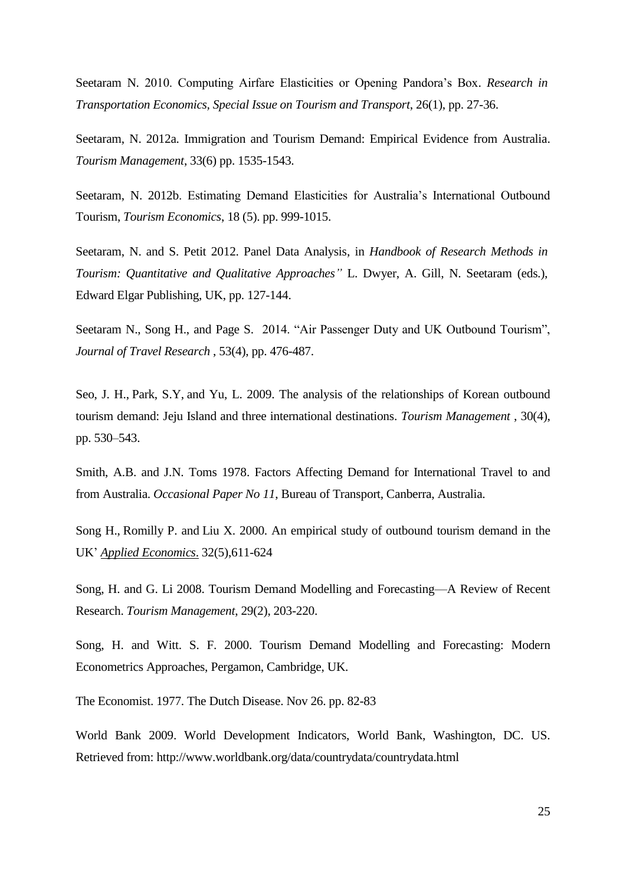Seetaram N. 2010. Computing Airfare Elasticities or Opening Pandora's Box. *Research in Transportation Economics, Special Issue on Tourism and Transport*, 26(1), pp. 27-36.

Seetaram, N. 2012a. Immigration and Tourism Demand: Empirical Evidence from Australia. *Tourism Management*, 33(6) pp. 1535-1543.

Seetaram, N. 2012b. Estimating Demand Elasticities for Australia's International Outbound Tourism, *Tourism Economics*, 18 (5). pp. 999-1015.

Seetaram, N. and S. Petit 2012. Panel Data Analysis, in *Handbook of Research Methods in Tourism: Quantitative and Qualitative Approaches"* L. Dwyer, A. Gill, N. Seetaram (eds.), Edward Elgar Publishing, UK, pp. 127-144.

Seetaram N., Song H., and Page S. 2014. "Air Passenger Duty and UK Outbound Tourism", *Journal of Travel Research* , 53(4), pp. 476-487.

[Seo,](http://www.sciencedirect.com/science/article/pii/S0261517708001477) J. H., [Park,](http://www.sciencedirect.com/science/article/pii/S0261517708001477) S.Y, and Yu, L. 2009. The analysis of the relationships of Korean outbound tourism demand: Jeju Island and three international destinations. *Tourism Management* , 30(4), pp. 530–543.

Smith, A.B. and J.N. Toms 1978. Factors Affecting Demand for International Travel to and from Australia. *Occasional Paper No 11*, Bureau of Transport, Canberra, Australia.

Song H., Romilly P. and Liu X. 2000. An empirical study of outbound tourism demand in the UK' *Applied Economics*. 32(5),611-624

Song, H. and G. Li 2008. Tourism Demand Modelling and Forecasting—A Review of Recent Research. *Tourism Management*, 29(2), 203-220.

Song, H. and Witt. S. F. 2000. Tourism Demand Modelling and Forecasting: Modern Econometrics Approaches, Pergamon, Cambridge, UK.

The Economist. 1977. The Dutch Disease. Nov 26. pp. 82-83

World Bank 2009. World Development Indicators, World Bank, Washington, DC. US. Retrieved from: http://www.worldbank.org/data/countrydata/countrydata.html